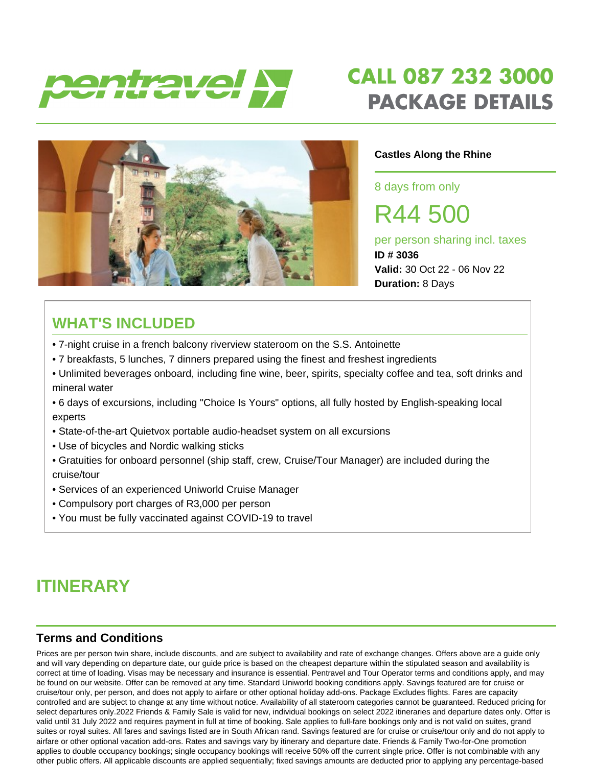



#### **Castles Along the Rhine**

8 days from only

R44 500

per person sharing incl. taxes **ID # 3036 Valid:** 30 Oct 22 - 06 Nov 22 **Duration:** 8 Days

## **WHAT'S INCLUDED**

- 7-night cruise in a french balcony riverview stateroom on the S.S. Antoinette
- 7 breakfasts, 5 lunches, 7 dinners prepared using the finest and freshest ingredients
- Unlimited beverages onboard, including fine wine, beer, spirits, specialty coffee and tea, soft drinks and mineral water
- 6 days of excursions, including "Choice Is Yours" options, all fully hosted by English-speaking local experts
- State-of-the-art Quietvox portable audio-headset system on all excursions
- Use of bicycles and Nordic walking sticks
- Gratuities for onboard personnel (ship staff, crew, Cruise/Tour Manager) are included during the cruise/tour
- Services of an experienced Uniworld Cruise Manager
- Compulsory port charges of R3,000 per person
- You must be fully vaccinated against COVID-19 to travel

## **ITINERARY**

### **Terms and Conditions**

Prices are per person twin share, include discounts, and are subject to availability and rate of exchange changes. Offers above are a guide only and will vary depending on departure date, our guide price is based on the cheapest departure within the stipulated season and availability is correct at time of loading. Visas may be necessary and insurance is essential. Pentravel and Tour Operator terms and conditions apply, and may be found on our website. Offer can be removed at any time. Standard Uniworld booking conditions apply. Savings featured are for cruise or cruise/tour only, per person, and does not apply to airfare or other optional holiday add-ons. Package Excludes flights. Fares are capacity controlled and are subject to change at any time without notice. Availability of all stateroom categories cannot be guaranteed. Reduced pricing for select departures only.2022 Friends & Family Sale is valid for new, individual bookings on select 2022 itineraries and departure dates only. Offer is valid until 31 July 2022 and requires payment in full at time of booking. Sale applies to full-fare bookings only and is not valid on suites, grand suites or royal suites. All fares and savings listed are in South African rand. Savings featured are for cruise or cruise/tour only and do not apply to airfare or other optional vacation add-ons. Rates and savings vary by itinerary and departure date. Friends & Family Two-for-One promotion applies to double occupancy bookings; single occupancy bookings will receive 50% off the current single price. Offer is not combinable with any other public offers. All applicable discounts are applied sequentially; fixed savings amounts are deducted prior to applying any percentage-based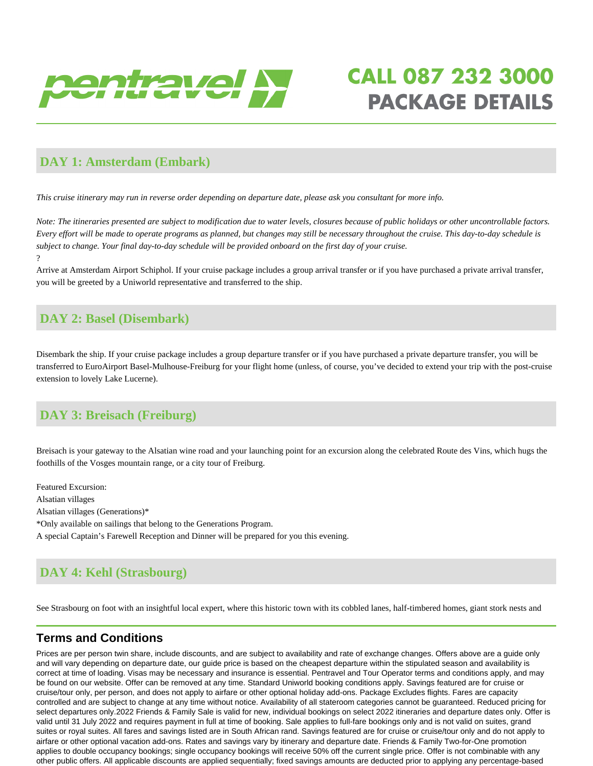

#### **DAY 1: Amsterdam (Embark)**

*This cruise itinerary may run in reverse order depending on departure date, please ask you consultant for more info.* 

*Note: The itineraries presented are subject to modification due to water levels, closures because of public holidays or other uncontrollable factors. Every effort will be made to operate programs as planned, but changes may still be necessary throughout the cruise. This day-to-day schedule is subject to change. Your final day-to-day schedule will be provided onboard on the first day of your cruise.* ?

Arrive at Amsterdam Airport Schiphol. If your cruise package includes a group arrival transfer or if you have purchased a private arrival transfer, you will be greeted by a Uniworld representative and transferred to the ship.

### **DAY 2: Basel (Disembark)**

Disembark the ship. If your cruise package includes a group departure transfer or if you have purchased a private departure transfer, you will be transferred to EuroAirport Basel-Mulhouse-Freiburg for your flight home (unless, of course, you've decided to extend your trip with the post-cruise extension to lovely Lake Lucerne).

## **DAY 3: Breisach (Freiburg)**

Breisach is your gateway to the Alsatian wine road and your launching point for an excursion along the celebrated Route des Vins, which hugs the foothills of the Vosges mountain range, or a city tour of Freiburg.

Featured Excursion: Alsatian villages Alsatian villages (Generations)\* \*Only available on sailings that belong to the Generations Program. A special Captain's Farewell Reception and Dinner will be prepared for you this evening.

## **DAY 4: Kehl (Strasbourg)**

See Strasbourg on foot with an insightful local expert, where this historic town with its cobbled lanes, half-timbered homes, giant stork nests and

#### **Terms and Conditions**

Prices are per person twin share, include discounts, and are subject to availability and rate of exchange changes. Offers above are a guide only and will vary depending on departure date, our guide price is based on the cheapest departure within the stipulated season and availability is correct at time of loading. Visas may be necessary and insurance is essential. Pentravel and Tour Operator terms and conditions apply, and may be found on our website. Offer can be removed at any time. Standard Uniworld booking conditions apply. Savings featured are for cruise or cruise/tour only, per person, and does not apply to airfare or other optional holiday add-ons. Package Excludes flights. Fares are capacity controlled and are subject to change at any time without notice. Availability of all stateroom categories cannot be guaranteed. Reduced pricing for select departures only.2022 Friends & Family Sale is valid for new, individual bookings on select 2022 itineraries and departure dates only. Offer is valid until 31 July 2022 and requires payment in full at time of booking. Sale applies to full-fare bookings only and is not valid on suites, grand suites or royal suites. All fares and savings listed are in South African rand. Savings featured are for cruise or cruise/tour only and do not apply to airfare or other optional vacation add-ons. Rates and savings vary by itinerary and departure date. Friends & Family Two-for-One promotion applies to double occupancy bookings; single occupancy bookings will receive 50% off the current single price. Offer is not combinable with any other public offers. All applicable discounts are applied sequentially; fixed savings amounts are deducted prior to applying any percentage-based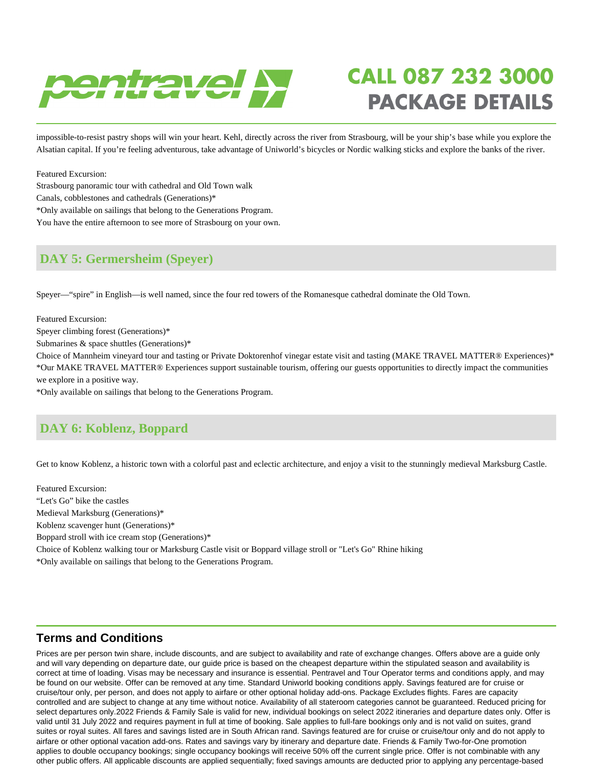

impossible-to-resist pastry shops will win your heart. Kehl, directly across the river from Strasbourg, will be your ship's base while you explore the Alsatian capital. If you're feeling adventurous, take advantage of Uniworld's bicycles or Nordic walking sticks and explore the banks of the river.

Featured Excursion: Strasbourg panoramic tour with cathedral and Old Town walk Canals, cobblestones and cathedrals (Generations)\* \*Only available on sailings that belong to the Generations Program. You have the entire afternoon to see more of Strasbourg on your own.

### **DAY 5: Germersheim (Speyer)**

Speyer—"spire" in English—is well named, since the four red towers of the Romanesque cathedral dominate the Old Town.

Featured Excursion: Speyer climbing forest (Generations)\*

Submarines & space shuttles (Generations)\*

Choice of Mannheim vineyard tour and tasting or Private Doktorenhof vinegar estate visit and tasting (MAKE TRAVEL MATTER® Experiences)\* \*Our MAKE TRAVEL MATTER® Experiences support sustainable tourism, offering our guests opportunities to directly impact the communities we explore in a positive way.

\*Only available on sailings that belong to the Generations Program.

## **DAY 6: Koblenz, Boppard**

Get to know Koblenz, a historic town with a colorful past and eclectic architecture, and enjoy a visit to the stunningly medieval Marksburg Castle.

Featured Excursion: "Let's Go" bike the castles Medieval Marksburg (Generations)\* Koblenz scavenger hunt (Generations)\* Boppard stroll with ice cream stop (Generations)\* Choice of Koblenz walking tour or Marksburg Castle visit or Boppard village stroll or "Let's Go" Rhine hiking \*Only available on sailings that belong to the Generations Program.

#### **Terms and Conditions**

Prices are per person twin share, include discounts, and are subject to availability and rate of exchange changes. Offers above are a guide only and will vary depending on departure date, our guide price is based on the cheapest departure within the stipulated season and availability is correct at time of loading. Visas may be necessary and insurance is essential. Pentravel and Tour Operator terms and conditions apply, and may be found on our website. Offer can be removed at any time. Standard Uniworld booking conditions apply. Savings featured are for cruise or cruise/tour only, per person, and does not apply to airfare or other optional holiday add-ons. Package Excludes flights. Fares are capacity controlled and are subject to change at any time without notice. Availability of all stateroom categories cannot be guaranteed. Reduced pricing for select departures only.2022 Friends & Family Sale is valid for new, individual bookings on select 2022 itineraries and departure dates only. Offer is valid until 31 July 2022 and requires payment in full at time of booking. Sale applies to full-fare bookings only and is not valid on suites, grand suites or royal suites. All fares and savings listed are in South African rand. Savings featured are for cruise or cruise/tour only and do not apply to airfare or other optional vacation add-ons. Rates and savings vary by itinerary and departure date. Friends & Family Two-for-One promotion applies to double occupancy bookings; single occupancy bookings will receive 50% off the current single price. Offer is not combinable with any other public offers. All applicable discounts are applied sequentially; fixed savings amounts are deducted prior to applying any percentage-based